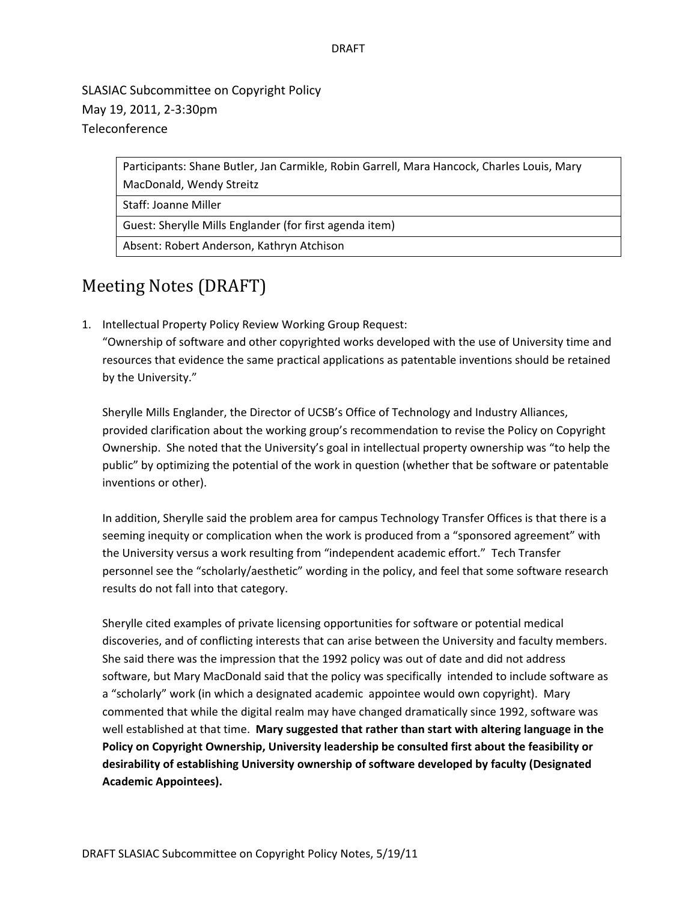## DRAFT

SLASIAC Subcommittee on Copyright Policy May 19, 2011, 2‐3:30pm Teleconference

> Participants: Shane Butler, Jan Carmikle, Robin Garrell, Mara Hancock, Charles Louis, Mary MacDonald, Wendy Streitz

Staff: Joanne Miller

Guest: Sherylle Mills Englander (for first agenda item)

Absent: Robert Anderson, Kathryn Atchison

## Meeting Notes (DRAFT)

1. Intellectual Property Policy Review Working Group Request:

"Ownership of software and other copyrighted works developed with the use of University time and resources that evidence the same practical applications as patentable inventions should be retained by the University."

Sherylle Mills Englander, the Director of UCSB's Office of Technology and Industry Alliances, provided clarification about the working group's recommendation to revise the Policy on Copyright Ownership. She noted that the University's goal in intellectual property ownership was "to help the public" by optimizing the potential of the work in question (whether that be software or patentable inventions or other).

In addition, Sherylle said the problem area for campus Technology Transfer Offices is that there is a seeming inequity or complication when the work is produced from a "sponsored agreement" with the University versus a work resulting from "independent academic effort." Tech Transfer personnel see the "scholarly/aesthetic" wording in the policy, and feel that some software research results do not fall into that category.

Sherylle cited examples of private licensing opportunities for software or potential medical discoveries, and of conflicting interests that can arise between the University and faculty members. She said there was the impression that the 1992 policy was out of date and did not address software, but Mary MacDonald said that the policy was specifically intended to include software as a "scholarly" work (in which a designated academic appointee would own copyright). Mary commented that while the digital realm may have changed dramatically since 1992, software was well established at that time. **Mary suggested that rather than start with altering language in the Policy on Copyright Ownership, University leadership be consulted first about the feasibility or desirability of establishing University ownership of software developed by faculty (Designated Academic Appointees).**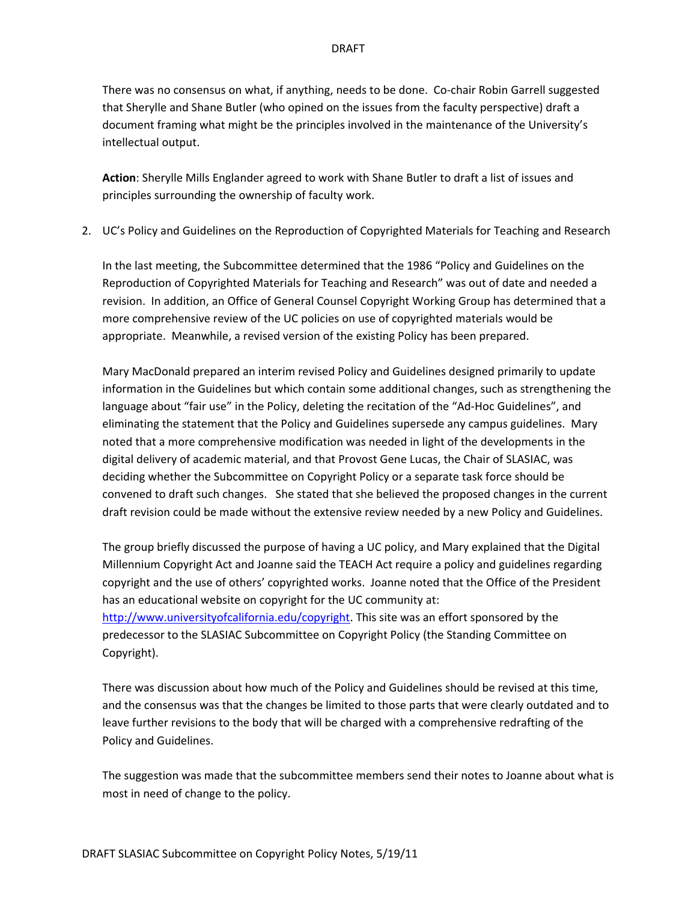There was no consensus on what, if anything, needs to be done. Co‐chair Robin Garrell suggested that Sherylle and Shane Butler (who opined on the issues from the faculty perspective) draft a document framing what might be the principles involved in the maintenance of the University's intellectual output.

**Action**: Sherylle Mills Englander agreed to work with Shane Butler to draft a list of issues and principles surrounding the ownership of faculty work.

2. UC's Policy and Guidelines on the Reproduction of Copyrighted Materials for Teaching and Research

In the last meeting, the Subcommittee determined that the 1986 "Policy and Guidelines on the Reproduction of Copyrighted Materials for Teaching and Research" was out of date and needed a revision. In addition, an Office of General Counsel Copyright Working Group has determined that a more comprehensive review of the UC policies on use of copyrighted materials would be appropriate. Meanwhile, a revised version of the existing Policy has been prepared.

Mary MacDonald prepared an interim revised Policy and Guidelines designed primarily to update information in the Guidelines but which contain some additional changes, such as strengthening the language about "fair use" in the Policy, deleting the recitation of the "Ad‐Hoc Guidelines", and eliminating the statement that the Policy and Guidelines supersede any campus guidelines. Mary noted that a more comprehensive modification was needed in light of the developments in the digital delivery of academic material, and that Provost Gene Lucas, the Chair of SLASIAC, was deciding whether the Subcommittee on Copyright Policy or a separate task force should be convened to draft such changes. She stated that she believed the proposed changes in the current draft revision could be made without the extensive review needed by a new Policy and Guidelines.

The group briefly discussed the purpose of having a UC policy, and Mary explained that the Digital Millennium Copyright Act and Joanne said the TEACH Act require a policy and guidelines regarding copyright and the use of others' copyrighted works. Joanne noted that the Office of the President has an educational website on copyright for the UC community at: http://www.universityofcalifornia.edu/copyright. This site was an effort sponsored by the predecessor to the SLASIAC Subcommittee on Copyright Policy (the Standing Committee on Copyright).

There was discussion about how much of the Policy and Guidelines should be revised at this time, and the consensus was that the changes be limited to those parts that were clearly outdated and to leave further revisions to the body that will be charged with a comprehensive redrafting of the Policy and Guidelines.

The suggestion was made that the subcommittee members send their notes to Joanne about what is most in need of change to the policy.